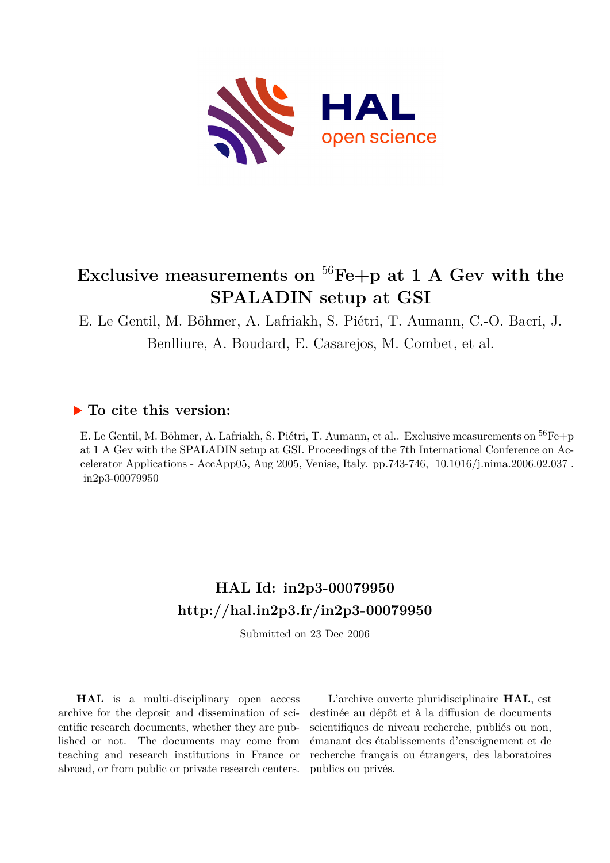

# **Exclusive measurements on** <sup>56</sup>**Fe+p at 1 A Gev with the SPALADIN setup at GSI**

E. Le Gentil, M. Böhmer, A. Lafriakh, S. Piétri, T. Aumann, C.-O. Bacri, J. Benlliure, A. Boudard, E. Casarejos, M. Combet, et al.

# **To cite this version:**

E. Le Gentil, M. Böhmer, A. Lafriakh, S. Piétri, T. Aumann, et al.. Exclusive measurements on <sup>56</sup>Fe+p at 1 A Gev with the SPALADIN setup at GSI. Proceedings of the 7th International Conference on Accelerator Applications - AccApp05, Aug 2005, Venise, Italy. pp.743-746, 10.1016/j.nima.2006.02.037. in2p3-00079950

# **HAL Id: in2p3-00079950 <http://hal.in2p3.fr/in2p3-00079950>**

Submitted on 23 Dec 2006

**HAL** is a multi-disciplinary open access archive for the deposit and dissemination of scientific research documents, whether they are published or not. The documents may come from teaching and research institutions in France or abroad, or from public or private research centers.

L'archive ouverte pluridisciplinaire **HAL**, est destinée au dépôt et à la diffusion de documents scientifiques de niveau recherche, publiés ou non, émanant des établissements d'enseignement et de recherche français ou étrangers, des laboratoires publics ou privés.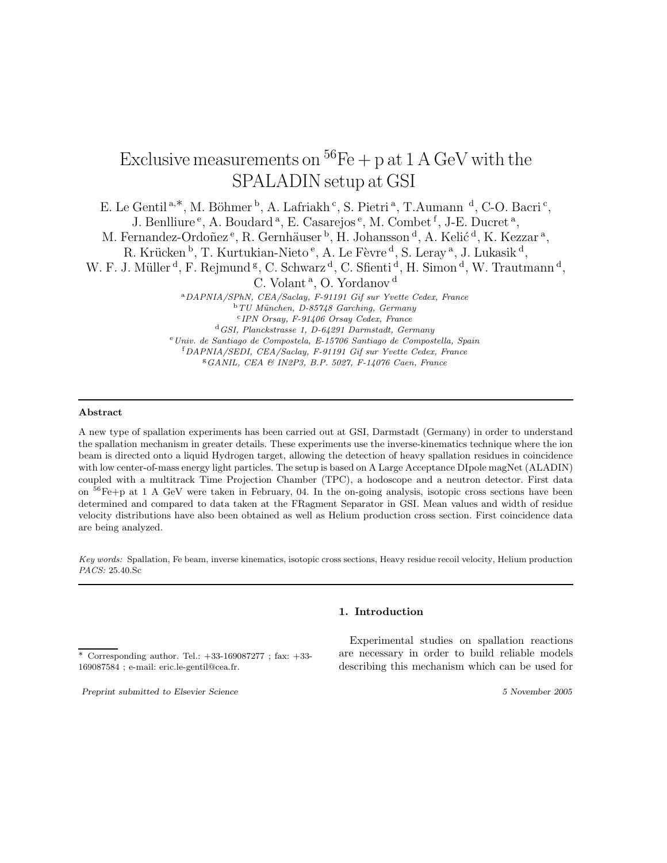# Exclusive measurements on  ${}^{56}Fe + p$  at 1 A GeV with the SPALADIN setup at GSI

E. Le Gentil<sup>a,\*</sup>, M. Böhmer <sup>b</sup>, A. Lafriakh <sup>c</sup>, S. Pietri <sup>a</sup>, T. Aumann <sup>d</sup>, C-O. Bacri <sup>c</sup>, J. Benlliure<sup>e</sup>, A. Boudard<sup>a</sup>, E. Casarejos<sup>e</sup>, M. Combet<sup>f</sup>, J-E. Ducret<sup>a</sup>, M. Fernandez-Ordoñez<sup>e</sup>, R. Gernhäuser <sup>b</sup>, H. Johansson <sup>d</sup>, A. Kelić <sup>d</sup>, K. Kezzar <sup>a</sup>, R. Krücken <sup>b</sup>, T. Kurtukian-Nieto <sup>e</sup>, A. Le Fèvre <sup>d</sup>, S. Leray <sup>a</sup>, J. Lukasik <sup>d</sup>, W. F. J. Müller<sup>d</sup>, F. Rejmund<sup>g</sup>, C. Schwarz<sup>d</sup>, C. Sfienti<sup>d</sup>, H. Simon<sup>d</sup>, W. Trautmann<sup>d</sup>, C. Volant<sup>a</sup>, O. Yordanov<sup>d</sup> <sup>a</sup>DAPNIA/SPhN, CEA/Saclay, F-91191 Gif sur Yvette Cedex, France  $bTU$  München, D-85748 Garching, Germany c IPN Orsay, F-91406 Orsay Cedex, France <sup>d</sup>GSI, Planckstrasse 1, D-64291 Darmstadt, Germany  $\,^{\rm e}$ Univ. de Santiago de Compostela, E-15706 Santiago de Compostella, Spain <sup>f</sup>DAPNIA/SEDI, CEA/Saclay, F-91191 Gif sur Yvette Cedex, France <sup>g</sup>GANIL, CEA & IN2P3, B.P. 5027, F-14076 Caen, France

### Abstract

A new type of spallation experiments has been carried out at GSI, Darmstadt (Germany) in order to understand the spallation mechanism in greater details. These experiments use the inverse-kinematics technique where the ion beam is directed onto a liquid Hydrogen target, allowing the detection of heavy spallation residues in coincidence with low center-of-mass energy light particles. The setup is based on A Large Acceptance DIpole magNet (ALADIN) coupled with a multitrack Time Projection Chamber (TPC), a hodoscope and a neutron detector. First data on <sup>56</sup>Fe+p at 1 A GeV were taken in February, 04. In the on-going analysis, isotopic cross sections have been determined and compared to data taken at the FRagment Separator in GSI. Mean values and width of residue velocity distributions have also been obtained as well as Helium production cross section. First coincidence data are being analyzed.

Key words: Spallation, Fe beam, inverse kinematics, isotopic cross sections, Heavy residue recoil velocity, Helium production PACS: 25.40.Sc

## 1. Introduction

Experimental studies on spallation reactions are necessary in order to build reliable models describing this mechanism which can be used for

<sup>∗</sup> Corresponding author. Tel.: +33-169087277 ; fax: +33- 169087584 ; e-mail: eric.le-gentil@cea.fr.

Preprint submitted to Elsevier Science 5 November 2005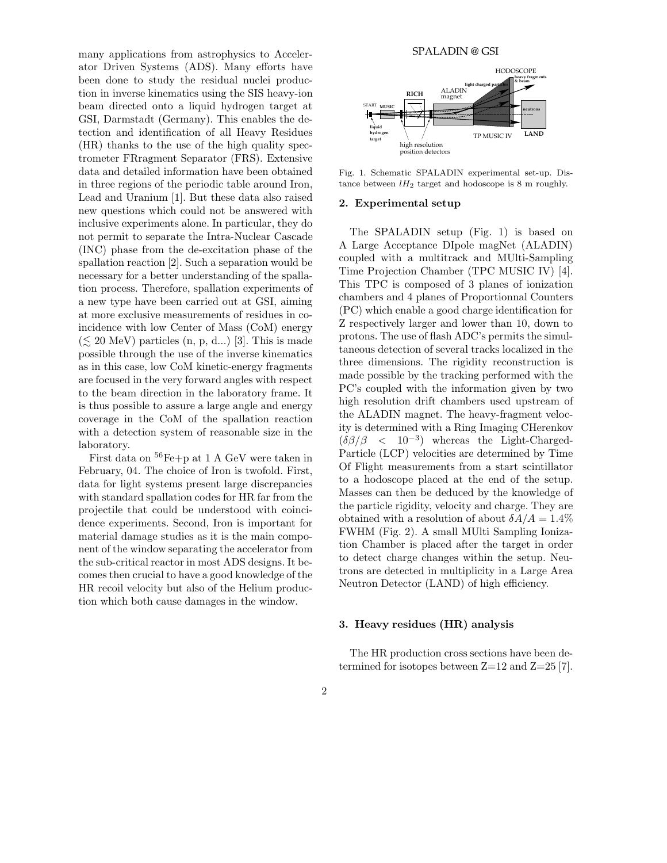many applications from astrophysics to Accelerator Driven Systems (ADS). Many efforts have been done to study the residual nuclei production in inverse kinematics using the SIS heavy-ion beam directed onto a liquid hydrogen target at GSI, Darmstadt (Germany). This enables the detection and identification of all Heavy Residues (HR) thanks to the use of the high quality spectrometer FRragment Separator (FRS). Extensive data and detailed information have been obtained in three regions of the periodic table around Iron, Lead and Uranium [1]. But these data also raised new questions which could not be answered with inclusive experiments alone. In particular, they do not permit to separate the Intra-Nuclear Cascade (INC) phase from the de-excitation phase of the spallation reaction [2]. Such a separation would be necessary for a better understanding of the spallation process. Therefore, spallation experiments of a new type have been carried out at GSI, aiming at more exclusive measurements of residues in coincidence with low Center of Mass (CoM) energy  $(\leq 20 \text{ MeV})$  particles  $(n, p, d...)$  [3]. This is made possible through the use of the inverse kinematics as in this case, low CoM kinetic-energy fragments are focused in the very forward angles with respect to the beam direction in the laboratory frame. It is thus possible to assure a large angle and energy coverage in the CoM of the spallation reaction with a detection system of reasonable size in the laboratory.

First data on <sup>56</sup>Fe+p at 1 A GeV were taken in February, 04. The choice of Iron is twofold. First, data for light systems present large discrepancies with standard spallation codes for HR far from the projectile that could be understood with coincidence experiments. Second, Iron is important for material damage studies as it is the main component of the window separating the accelerator from the sub-critical reactor in most ADS designs. It becomes then crucial to have a good knowledge of the HR recoil velocity but also of the Helium production which both cause damages in the window.



Fig. 1. Schematic SPALADIN experimental set-up. Distance between  $lH_2$  target and hodoscope is 8 m roughly.

#### 2. Experimental setup

The SPALADIN setup (Fig. 1) is based on A Large Acceptance DIpole magNet (ALADIN) coupled with a multitrack and MUlti-Sampling Time Projection Chamber (TPC MUSIC IV) [4]. This TPC is composed of 3 planes of ionization chambers and 4 planes of Proportionnal Counters (PC) which enable a good charge identification for Z respectively larger and lower than 10, down to protons. The use of flash ADC's permits the simultaneous detection of several tracks localized in the three dimensions. The rigidity reconstruction is made possible by the tracking performed with the PC's coupled with the information given by two high resolution drift chambers used upstream of the ALADIN magnet. The heavy-fragment velocity is determined with a Ring Imaging CHerenkov  $(\delta\beta/\beta \leq 10^{-3})$  whereas the Light-Charged-Particle (LCP) velocities are determined by Time Of Flight measurements from a start scintillator to a hodoscope placed at the end of the setup. Masses can then be deduced by the knowledge of the particle rigidity, velocity and charge. They are obtained with a resolution of about  $\delta A/A = 1.4\%$ FWHM (Fig. 2). A small MUlti Sampling Ionization Chamber is placed after the target in order to detect charge changes within the setup. Neutrons are detected in multiplicity in a Large Area Neutron Detector (LAND) of high efficiency.

#### 3. Heavy residues (HR) analysis

The HR production cross sections have been determined for isotopes between  $Z=12$  and  $Z=25$  [7].

# 2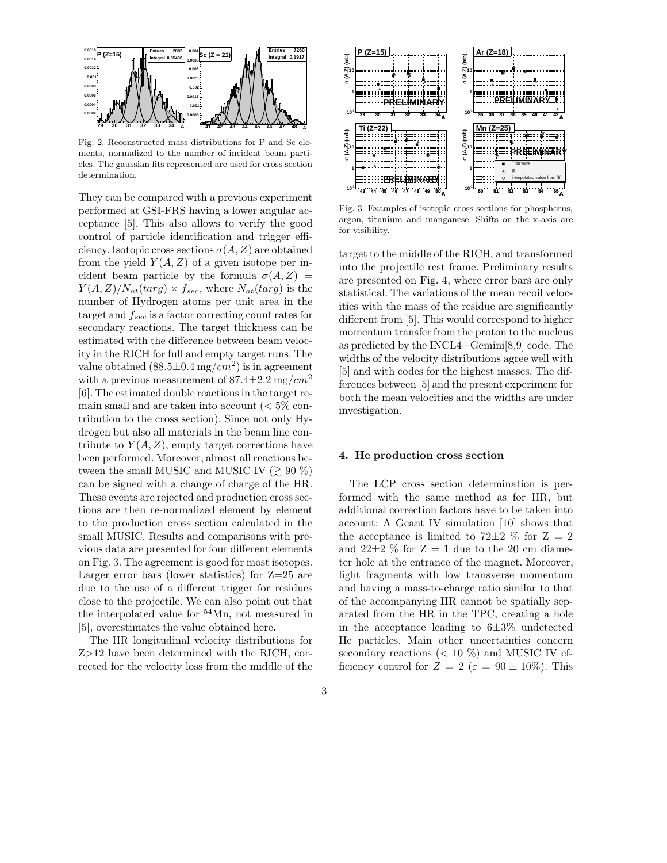

Fig. 2. Reconstructed mass distributions for P and Sc elements, normalized to the number of incident beam particles. The gaussian fits represented are used for cross section determination.

They can be compared with a previous experiment performed at GSI-FRS having a lower angular acceptance [5]. This also allows to verify the good control of particle identification and trigger efficiency. Isotopic cross sections  $\sigma(A, Z)$  are obtained from the yield  $Y(A, Z)$  of a given isotope per incident beam particle by the formula  $\sigma(A, Z)$  $Y(A,Z)/N_{at}(targ) \times f_{sec}$ , where  $N_{at}(targ)$  is the number of Hydrogen atoms per unit area in the target and  $f_{sec}$  is a factor correcting count rates for secondary reactions. The target thickness can be estimated with the difference between beam velocity in the RICH for full and empty target runs. The value obtained  $(88.5 \pm 0.4 \text{ mg}/\text{cm}^2)$  is in agreement with a previous measurement of  $87.4 \pm 2.2$  mg/cm<sup>2</sup> [6]. The estimated double reactions in the target remain small and are taken into account  $\langle \, 5\% \rangle$  contribution to the cross section). Since not only Hydrogen but also all materials in the beam line contribute to  $Y(A, Z)$ , empty target corrections have been performed. Moreover, almost all reactions between the small MUSIC and MUSIC IV  $(\geq 90\%)$ can be signed with a change of charge of the HR. These events are rejected and production cross sections are then re-normalized element by element to the production cross section calculated in the small MUSIC. Results and comparisons with previous data are presented for four different elements on Fig. 3. The agreement is good for most isotopes. Larger error bars (lower statistics) for  $Z=25$  are due to the use of a different trigger for residues close to the projectile. We can also point out that the interpolated value for <sup>54</sup>Mn, not measured in [5], overestimates the value obtained here.

The HR longitudinal velocity distributions for Z>12 have been determined with the RICH, corrected for the velocity loss from the middle of the



Fig. 3. Examples of isotopic cross sections for phosphorus, argon, titanium and manganese. Shifts on the x-axis are for visibility.

target to the middle of the RICH, and transformed into the projectile rest frame. Preliminary results are presented on Fig. 4, where error bars are only statistical. The variations of the mean recoil velocities with the mass of the residue are significantly different from [5]. This would correspond to higher momentum transfer from the proton to the nucleus as predicted by the INCL4+Gemini[8,9] code. The widths of the velocity distributions agree well with [5] and with codes for the highest masses. The differences between [5] and the present experiment for both the mean velocities and the widths are under investigation.

### 4. He production cross section

The LCP cross section determination is performed with the same method as for HR, but additional correction factors have to be taken into account: A Geant IV simulation [10] shows that the acceptance is limited to 72 $\pm$ 2 % for Z = 2 and  $22\pm2\%$  for  $Z=1$  due to the 20 cm diameter hole at the entrance of the magnet. Moreover, light fragments with low transverse momentum and having a mass-to-charge ratio similar to that of the accompanying HR cannot be spatially separated from the HR in the TPC, creating a hole in the acceptance leading to  $6\pm3\%$  undetected He particles. Main other uncertainties concern secondary reactions ( $< 10 \%$ ) and MUSIC IV efficiency control for  $Z = 2$  ( $\varepsilon = 90 \pm 10\%$ ). This

3